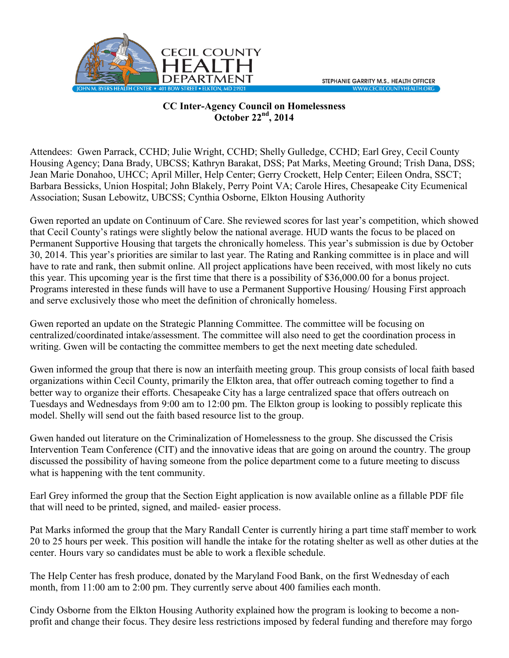

## **CC Inter-Agency Council on Homelessness October 22nd, 2014**

Attendees: Gwen Parrack, CCHD; Julie Wright, CCHD; Shelly Gulledge, CCHD; Earl Grey, Cecil County Housing Agency; Dana Brady, UBCSS; Kathryn Barakat, DSS; Pat Marks, Meeting Ground; Trish Dana, DSS; Jean Marie Donahoo, UHCC; April Miller, Help Center; Gerry Crockett, Help Center; Eileen Ondra, SSCT; Barbara Bessicks, Union Hospital; John Blakely, Perry Point VA; Carole Hires, Chesapeake City Ecumenical Association; Susan Lebowitz, UBCSS; Cynthia Osborne, Elkton Housing Authority

Gwen reported an update on Continuum of Care. She reviewed scores for last year's competition, which showed that Cecil County's ratings were slightly below the national average. HUD wants the focus to be placed on Permanent Supportive Housing that targets the chronically homeless. This year's submission is due by October 30, 2014. This year's priorities are similar to last year. The Rating and Ranking committee is in place and will have to rate and rank, then submit online. All project applications have been received, with most likely no cuts this year. This upcoming year is the first time that there is a possibility of \$36,000.00 for a bonus project. Programs interested in these funds will have to use a Permanent Supportive Housing/ Housing First approach and serve exclusively those who meet the definition of chronically homeless.

Gwen reported an update on the Strategic Planning Committee. The committee will be focusing on centralized/coordinated intake/assessment. The committee will also need to get the coordination process in writing. Gwen will be contacting the committee members to get the next meeting date scheduled.

Gwen informed the group that there is now an interfaith meeting group. This group consists of local faith based organizations within Cecil County, primarily the Elkton area, that offer outreach coming together to find a better way to organize their efforts. Chesapeake City has a large centralized space that offers outreach on Tuesdays and Wednesdays from 9:00 am to 12:00 pm. The Elkton group is looking to possibly replicate this model. Shelly will send out the faith based resource list to the group.

Gwen handed out literature on the Criminalization of Homelessness to the group. She discussed the Crisis Intervention Team Conference (CIT) and the innovative ideas that are going on around the country. The group discussed the possibility of having someone from the police department come to a future meeting to discuss what is happening with the tent community.

Earl Grey informed the group that the Section Eight application is now available online as a fillable PDF file that will need to be printed, signed, and mailed- easier process.

Pat Marks informed the group that the Mary Randall Center is currently hiring a part time staff member to work 20 to 25 hours per week. This position will handle the intake for the rotating shelter as well as other duties at the center. Hours vary so candidates must be able to work a flexible schedule.

The Help Center has fresh produce, donated by the Maryland Food Bank, on the first Wednesday of each month, from 11:00 am to 2:00 pm. They currently serve about 400 families each month.

Cindy Osborne from the Elkton Housing Authority explained how the program is looking to become a nonprofit and change their focus. They desire less restrictions imposed by federal funding and therefore may forgo